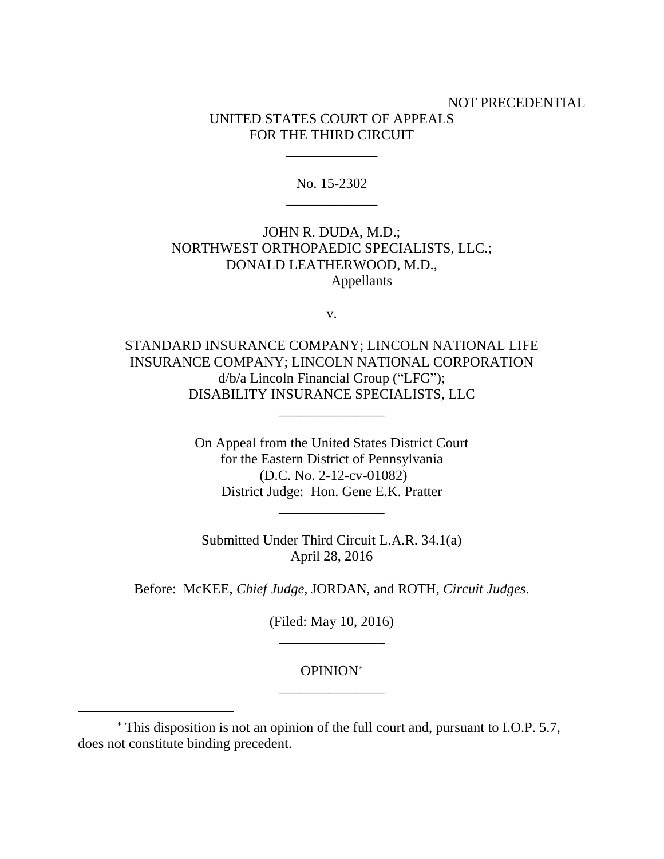# NOT PRECEDENTIAL UNITED STATES COURT OF APPEALS FOR THE THIRD CIRCUIT

No. 15-2302 \_\_\_\_\_\_\_\_\_\_\_\_\_

\_\_\_\_\_\_\_\_\_\_\_\_\_

# JOHN R. DUDA, M.D.; NORTHWEST ORTHOPAEDIC SPECIALISTS, LLC.; DONALD LEATHERWOOD, M.D., Appellants

v.

STANDARD INSURANCE COMPANY; LINCOLN NATIONAL LIFE INSURANCE COMPANY; LINCOLN NATIONAL CORPORATION d/b/a Lincoln Financial Group ("LFG"); DISABILITY INSURANCE SPECIALISTS, LLC

\_\_\_\_\_\_\_\_\_\_\_\_\_\_\_

On Appeal from the United States District Court for the Eastern District of Pennsylvania (D.C. No. 2-12-cv-01082) District Judge: Hon. Gene E.K. Pratter

\_\_\_\_\_\_\_\_\_\_\_\_\_\_\_

Submitted Under Third Circuit L.A.R. 34.1(a) April 28, 2016

Before: McKEE, *Chief Judge*, JORDAN, and ROTH, *Circuit Judges*.

(Filed: May 10, 2016) \_\_\_\_\_\_\_\_\_\_\_\_\_\_\_

### OPINION \_\_\_\_\_\_\_\_\_\_\_\_\_\_\_

 $\overline{a}$ 

This disposition is not an opinion of the full court and, pursuant to I.O.P. 5.7, does not constitute binding precedent.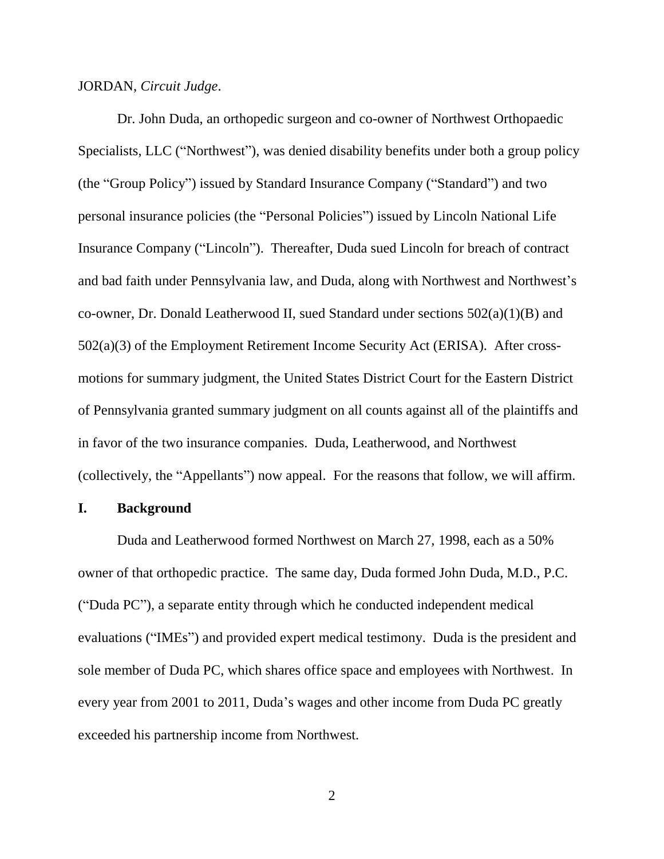#### JORDAN, *Circuit Judge*.

Dr. John Duda, an orthopedic surgeon and co-owner of Northwest Orthopaedic Specialists, LLC ("Northwest"), was denied disability benefits under both a group policy (the "Group Policy") issued by Standard Insurance Company ("Standard") and two personal insurance policies (the "Personal Policies") issued by Lincoln National Life Insurance Company ("Lincoln"). Thereafter, Duda sued Lincoln for breach of contract and bad faith under Pennsylvania law, and Duda, along with Northwest and Northwest's co-owner, Dr. Donald Leatherwood II, sued Standard under sections 502(a)(1)(B) and 502(a)(3) of the Employment Retirement Income Security Act (ERISA). After crossmotions for summary judgment, the United States District Court for the Eastern District of Pennsylvania granted summary judgment on all counts against all of the plaintiffs and in favor of the two insurance companies. Duda, Leatherwood, and Northwest (collectively, the "Appellants") now appeal. For the reasons that follow, we will affirm.

### **I. Background**

Duda and Leatherwood formed Northwest on March 27, 1998, each as a 50% owner of that orthopedic practice. The same day, Duda formed John Duda, M.D., P.C. ("Duda PC"), a separate entity through which he conducted independent medical evaluations ("IMEs") and provided expert medical testimony. Duda is the president and sole member of Duda PC, which shares office space and employees with Northwest. In every year from 2001 to 2011, Duda's wages and other income from Duda PC greatly exceeded his partnership income from Northwest.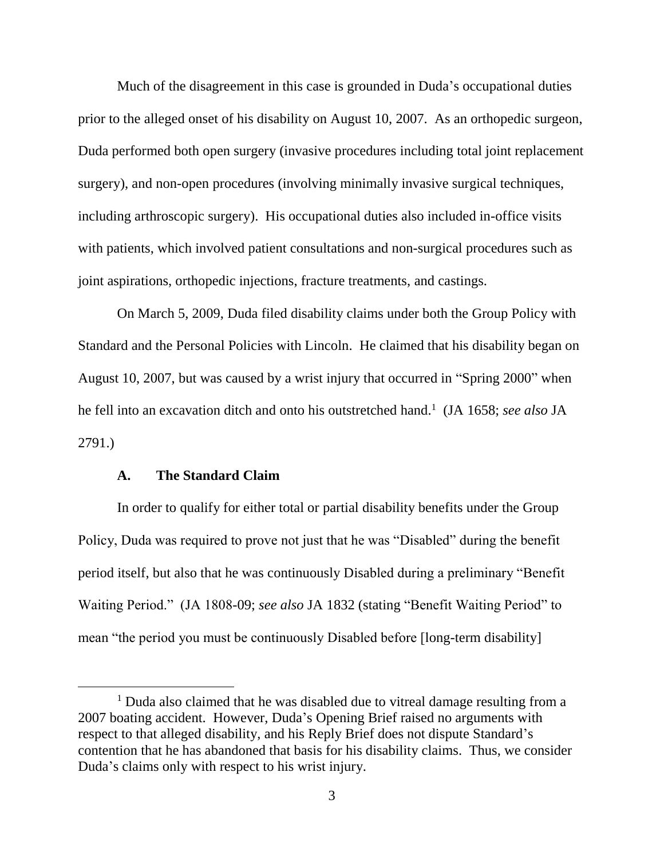Much of the disagreement in this case is grounded in Duda's occupational duties prior to the alleged onset of his disability on August 10, 2007. As an orthopedic surgeon, Duda performed both open surgery (invasive procedures including total joint replacement surgery), and non-open procedures (involving minimally invasive surgical techniques, including arthroscopic surgery). His occupational duties also included in-office visits with patients, which involved patient consultations and non-surgical procedures such as joint aspirations, orthopedic injections, fracture treatments, and castings.

On March 5, 2009, Duda filed disability claims under both the Group Policy with Standard and the Personal Policies with Lincoln. He claimed that his disability began on August 10, 2007, but was caused by a wrist injury that occurred in "Spring 2000" when he fell into an excavation ditch and onto his outstretched hand. 1 (JA 1658; *see also* JA 2791.)

### **A. The Standard Claim**

In order to qualify for either total or partial disability benefits under the Group Policy, Duda was required to prove not just that he was "Disabled" during the benefit period itself, but also that he was continuously Disabled during a preliminary "Benefit Waiting Period." (JA 1808-09; *see also* JA 1832 (stating "Benefit Waiting Period" to mean "the period you must be continuously Disabled before [long-term disability]

<sup>&</sup>lt;sup>1</sup> Duda also claimed that he was disabled due to vitreal damage resulting from a 2007 boating accident. However, Duda's Opening Brief raised no arguments with respect to that alleged disability, and his Reply Brief does not dispute Standard's contention that he has abandoned that basis for his disability claims. Thus, we consider Duda's claims only with respect to his wrist injury.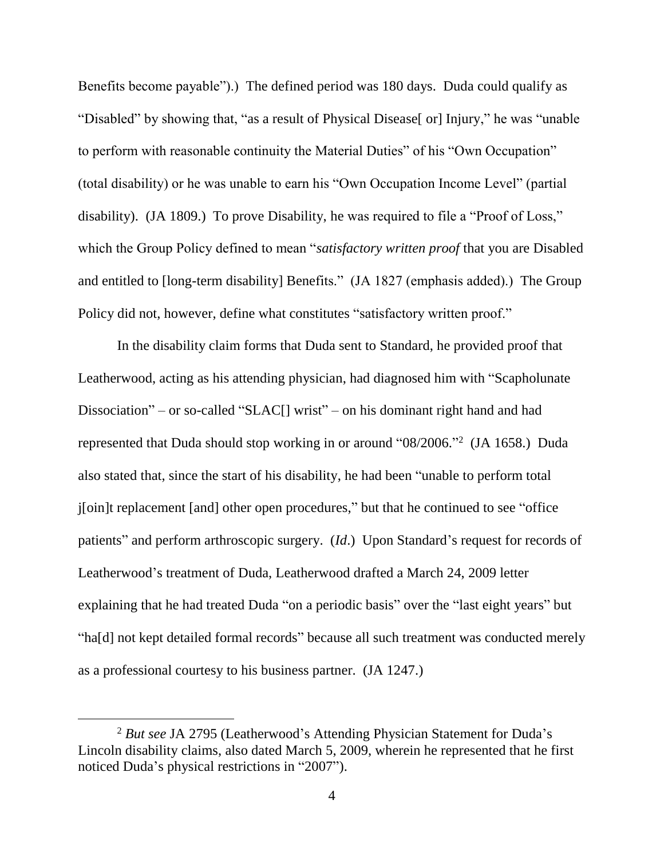Benefits become payable").) The defined period was 180 days. Duda could qualify as "Disabled" by showing that, "as a result of Physical Disease[ or] Injury," he was "unable to perform with reasonable continuity the Material Duties" of his "Own Occupation" (total disability) or he was unable to earn his "Own Occupation Income Level" (partial disability). (JA 1809.) To prove Disability, he was required to file a "Proof of Loss," which the Group Policy defined to mean "*satisfactory written proof* that you are Disabled and entitled to [long-term disability] Benefits." (JA 1827 (emphasis added).) The Group Policy did not, however, define what constitutes "satisfactory written proof."

In the disability claim forms that Duda sent to Standard, he provided proof that Leatherwood, acting as his attending physician, had diagnosed him with "Scapholunate Dissociation" – or so-called "SLAC[] wrist" – on his dominant right hand and had represented that Duda should stop working in or around "08/2006." 2 (JA 1658.) Duda also stated that, since the start of his disability, he had been "unable to perform total j[oin]t replacement [and] other open procedures," but that he continued to see "office patients" and perform arthroscopic surgery. (*Id*.) Upon Standard's request for records of Leatherwood's treatment of Duda, Leatherwood drafted a March 24, 2009 letter explaining that he had treated Duda "on a periodic basis" over the "last eight years" but "ha[d] not kept detailed formal records" because all such treatment was conducted merely as a professional courtesy to his business partner. (JA 1247.)

<sup>2</sup> *But see* JA 2795 (Leatherwood's Attending Physician Statement for Duda's Lincoln disability claims, also dated March 5, 2009, wherein he represented that he first noticed Duda's physical restrictions in "2007").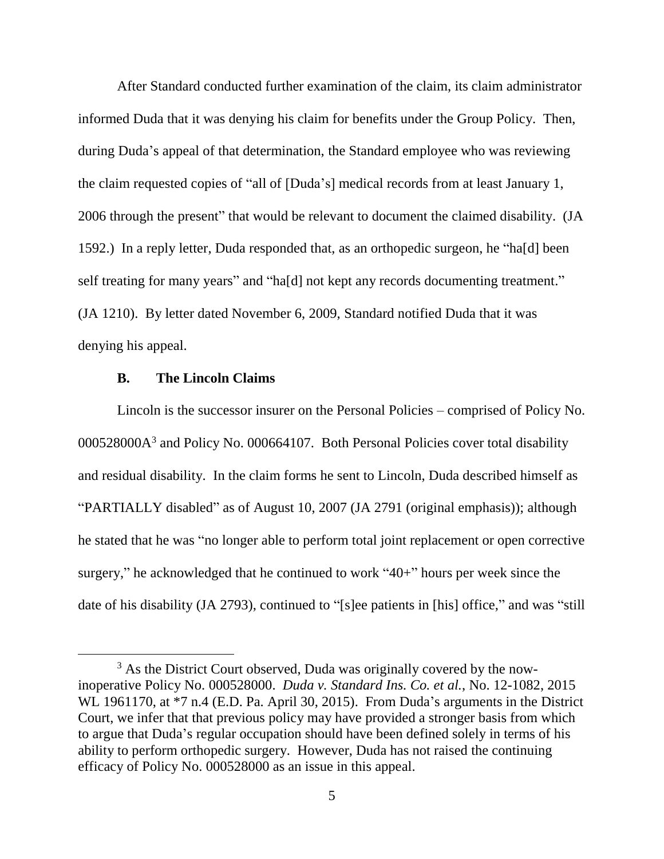After Standard conducted further examination of the claim, its claim administrator informed Duda that it was denying his claim for benefits under the Group Policy. Then, during Duda's appeal of that determination, the Standard employee who was reviewing the claim requested copies of "all of [Duda's] medical records from at least January 1, 2006 through the present" that would be relevant to document the claimed disability. (JA 1592.) In a reply letter, Duda responded that, as an orthopedic surgeon, he "ha[d] been self treating for many years" and "ha[d] not kept any records documenting treatment." (JA 1210). By letter dated November 6, 2009, Standard notified Duda that it was denying his appeal.

### **B. The Lincoln Claims**

Lincoln is the successor insurer on the Personal Policies – comprised of Policy No. 000528000A<sup>3</sup> and Policy No. 000664107. Both Personal Policies cover total disability and residual disability. In the claim forms he sent to Lincoln, Duda described himself as "PARTIALLY disabled" as of August 10, 2007 (JA 2791 (original emphasis)); although he stated that he was "no longer able to perform total joint replacement or open corrective surgery," he acknowledged that he continued to work "40+" hours per week since the date of his disability (JA 2793), continued to "[s]ee patients in [his] office," and was "still

<sup>&</sup>lt;sup>3</sup> As the District Court observed, Duda was originally covered by the nowinoperative Policy No. 000528000. *Duda v. Standard Ins. Co. et al.*, No. 12-1082, 2015 WL 1961170, at  $*7$  n.4 (E.D. Pa. April 30, 2015). From Duda's arguments in the District Court, we infer that that previous policy may have provided a stronger basis from which to argue that Duda's regular occupation should have been defined solely in terms of his ability to perform orthopedic surgery. However, Duda has not raised the continuing efficacy of Policy No. 000528000 as an issue in this appeal.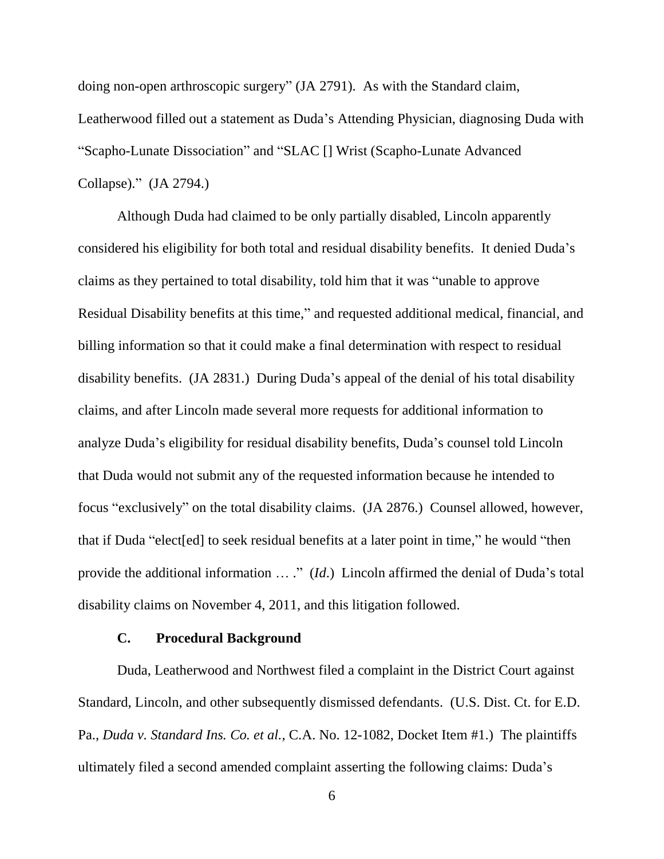doing non-open arthroscopic surgery" (JA 2791). As with the Standard claim, Leatherwood filled out a statement as Duda's Attending Physician, diagnosing Duda with "Scapho-Lunate Dissociation" and "SLAC [] Wrist (Scapho-Lunate Advanced Collapse)." (JA 2794.)

Although Duda had claimed to be only partially disabled, Lincoln apparently considered his eligibility for both total and residual disability benefits. It denied Duda's claims as they pertained to total disability, told him that it was "unable to approve Residual Disability benefits at this time," and requested additional medical, financial, and billing information so that it could make a final determination with respect to residual disability benefits. (JA 2831.) During Duda's appeal of the denial of his total disability claims, and after Lincoln made several more requests for additional information to analyze Duda's eligibility for residual disability benefits, Duda's counsel told Lincoln that Duda would not submit any of the requested information because he intended to focus "exclusively" on the total disability claims. (JA 2876.) Counsel allowed, however, that if Duda "elect[ed] to seek residual benefits at a later point in time," he would "then provide the additional information … ." (*Id*.) Lincoln affirmed the denial of Duda's total disability claims on November 4, 2011, and this litigation followed.

### **C. Procedural Background**

Duda, Leatherwood and Northwest filed a complaint in the District Court against Standard, Lincoln, and other subsequently dismissed defendants. (U.S. Dist. Ct. for E.D. Pa., *Duda v. Standard Ins. Co. et al.*, C.A. No. 12-1082, Docket Item #1.) The plaintiffs ultimately filed a second amended complaint asserting the following claims: Duda's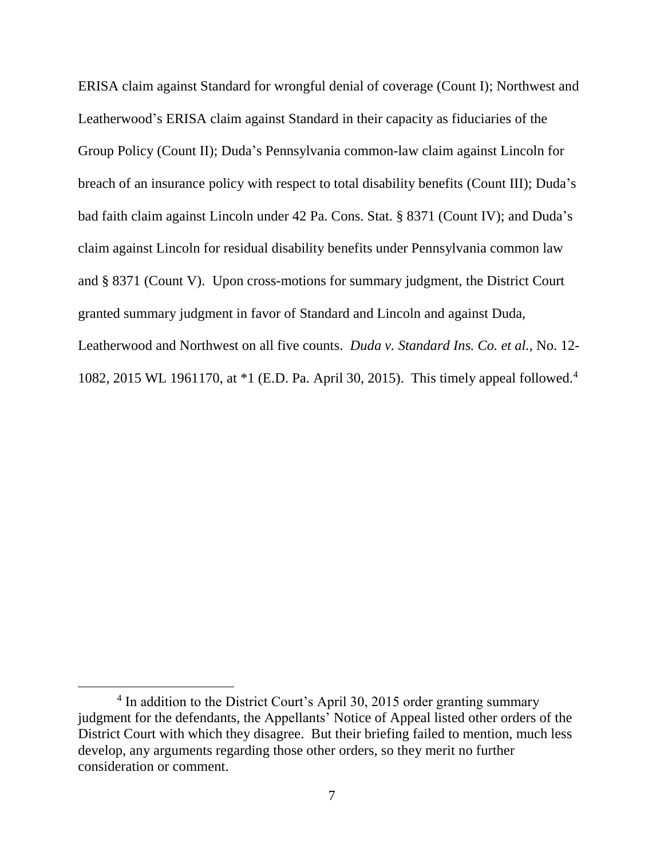ERISA claim against Standard for wrongful denial of coverage (Count I); Northwest and Leatherwood's ERISA claim against Standard in their capacity as fiduciaries of the Group Policy (Count II); Duda's Pennsylvania common-law claim against Lincoln for breach of an insurance policy with respect to total disability benefits (Count III); Duda's bad faith claim against Lincoln under 42 Pa. Cons. Stat. § 8371 (Count IV); and Duda's claim against Lincoln for residual disability benefits under Pennsylvania common law and § 8371 (Count V). Upon cross-motions for summary judgment, the District Court granted summary judgment in favor of Standard and Lincoln and against Duda, Leatherwood and Northwest on all five counts. *Duda v. Standard Ins. Co. et al.*, No. 12- 1082, 2015 WL 1961170, at \*1 (E.D. Pa. April 30, 2015). This timely appeal followed.<sup>4</sup>

<sup>&</sup>lt;sup>4</sup> In addition to the District Court's April 30, 2015 order granting summary judgment for the defendants, the Appellants' Notice of Appeal listed other orders of the District Court with which they disagree. But their briefing failed to mention, much less develop, any arguments regarding those other orders, so they merit no further consideration or comment.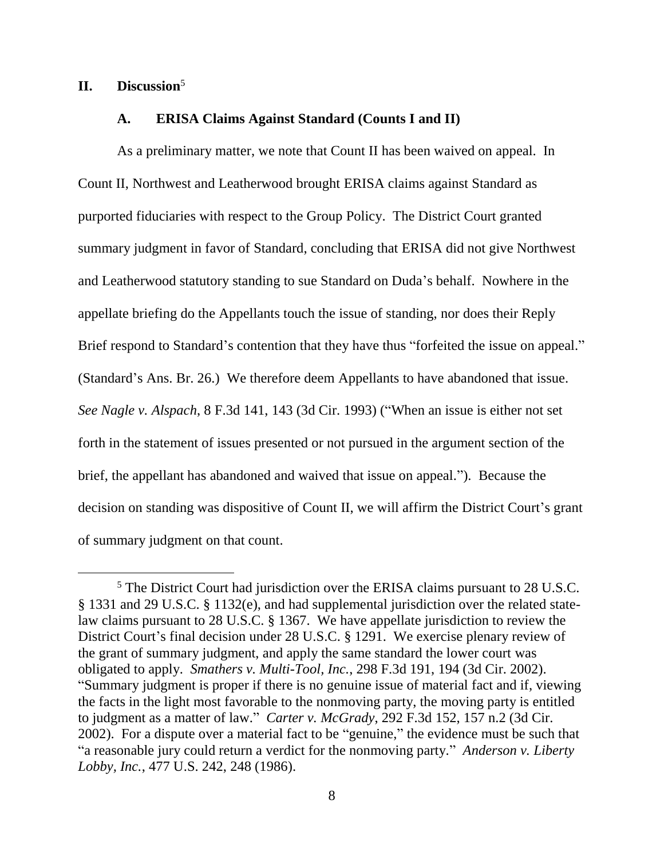# **II. Discussion**<sup>5</sup>

### **A. ERISA Claims Against Standard (Counts I and II)**

As a preliminary matter, we note that Count II has been waived on appeal. In Count II, Northwest and Leatherwood brought ERISA claims against Standard as purported fiduciaries with respect to the Group Policy. The District Court granted summary judgment in favor of Standard, concluding that ERISA did not give Northwest and Leatherwood statutory standing to sue Standard on Duda's behalf. Nowhere in the appellate briefing do the Appellants touch the issue of standing, nor does their Reply Brief respond to Standard's contention that they have thus "forfeited the issue on appeal." (Standard's Ans. Br. 26.) We therefore deem Appellants to have abandoned that issue. *See Nagle v. Alspach*, 8 F.3d 141, 143 (3d Cir. 1993) ("When an issue is either not set forth in the statement of issues presented or not pursued in the argument section of the brief, the appellant has abandoned and waived that issue on appeal."). Because the decision on standing was dispositive of Count II, we will affirm the District Court's grant of summary judgment on that count.

<sup>5</sup> The District Court had jurisdiction over the ERISA claims pursuant to 28 U.S.C. § 1331 and 29 U.S.C. § 1132(e), and had supplemental jurisdiction over the related statelaw claims pursuant to 28 U.S.C. § 1367. We have appellate jurisdiction to review the District Court's final decision under 28 U.S.C. § 1291. We exercise plenary review of the grant of summary judgment, and apply the same standard the lower court was obligated to apply. *Smathers v. Multi-Tool, Inc.*, 298 F.3d 191, 194 (3d Cir. 2002). "Summary judgment is proper if there is no genuine issue of material fact and if, viewing the facts in the light most favorable to the nonmoving party, the moving party is entitled to judgment as a matter of law." *Carter v. McGrady*, 292 F.3d 152, 157 n.2 (3d Cir. 2002). For a dispute over a material fact to be "genuine," the evidence must be such that "a reasonable jury could return a verdict for the nonmoving party." *Anderson v. Liberty Lobby, Inc.*, 477 U.S. 242, 248 (1986).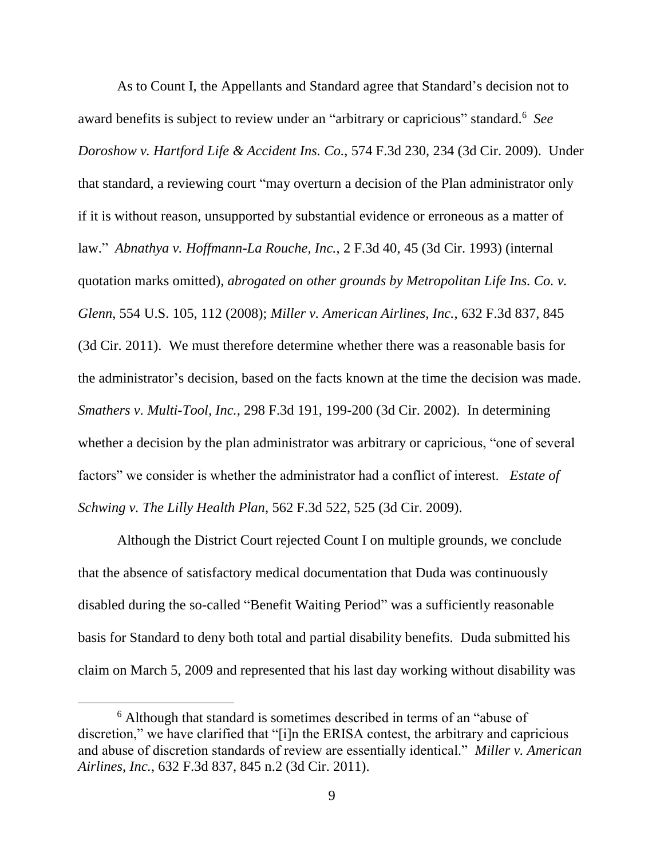As to Count I, the Appellants and Standard agree that Standard's decision not to award benefits is subject to review under an "arbitrary or capricious" standard.<sup>6</sup> *See Doroshow v. Hartford Life & Accident Ins. Co.*, 574 F.3d 230, 234 (3d Cir. 2009). Under that standard, a reviewing court "may overturn a decision of the Plan administrator only if it is without reason, unsupported by substantial evidence or erroneous as a matter of law." *Abnathya v. Hoffmann-La Rouche, Inc.*, 2 F.3d 40, 45 (3d Cir. 1993) (internal quotation marks omitted), *abrogated on other grounds by Metropolitan Life Ins. Co. v. Glenn*, 554 U.S. 105, 112 (2008); *Miller v. American Airlines, Inc.*, 632 F.3d 837, 845 (3d Cir. 2011). We must therefore determine whether there was a reasonable basis for the administrator's decision, based on the facts known at the time the decision was made. *Smathers v. Multi-Tool, Inc.*, 298 F.3d 191, 199-200 (3d Cir. 2002). In determining whether a decision by the plan administrator was arbitrary or capricious, "one of several factors" we consider is whether the administrator had a conflict of interest. *Estate of Schwing v. The Lilly Health Plan*, 562 F.3d 522, 525 (3d Cir. 2009).

Although the District Court rejected Count I on multiple grounds, we conclude that the absence of satisfactory medical documentation that Duda was continuously disabled during the so-called "Benefit Waiting Period" was a sufficiently reasonable basis for Standard to deny both total and partial disability benefits. Duda submitted his claim on March 5, 2009 and represented that his last day working without disability was

<sup>6</sup> Although that standard is sometimes described in terms of an "abuse of discretion," we have clarified that "[i]n the ERISA contest, the arbitrary and capricious and abuse of discretion standards of review are essentially identical." *Miller v. American Airlines, Inc.*, 632 F.3d 837, 845 n.2 (3d Cir. 2011).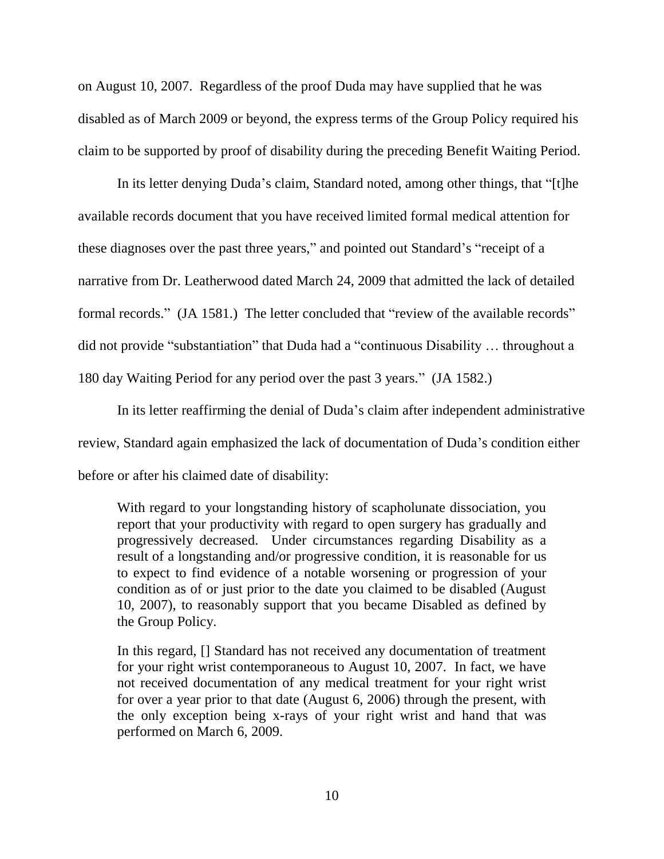on August 10, 2007. Regardless of the proof Duda may have supplied that he was disabled as of March 2009 or beyond, the express terms of the Group Policy required his claim to be supported by proof of disability during the preceding Benefit Waiting Period.

In its letter denying Duda's claim, Standard noted, among other things, that "[t]he available records document that you have received limited formal medical attention for these diagnoses over the past three years," and pointed out Standard's "receipt of a narrative from Dr. Leatherwood dated March 24, 2009 that admitted the lack of detailed formal records." (JA 1581.) The letter concluded that "review of the available records" did not provide "substantiation" that Duda had a "continuous Disability … throughout a 180 day Waiting Period for any period over the past 3 years." (JA 1582.)

In its letter reaffirming the denial of Duda's claim after independent administrative review, Standard again emphasized the lack of documentation of Duda's condition either before or after his claimed date of disability:

With regard to your longstanding history of scapholunate dissociation, you report that your productivity with regard to open surgery has gradually and progressively decreased. Under circumstances regarding Disability as a result of a longstanding and/or progressive condition, it is reasonable for us to expect to find evidence of a notable worsening or progression of your condition as of or just prior to the date you claimed to be disabled (August 10, 2007), to reasonably support that you became Disabled as defined by the Group Policy.

In this regard, [] Standard has not received any documentation of treatment for your right wrist contemporaneous to August 10, 2007. In fact, we have not received documentation of any medical treatment for your right wrist for over a year prior to that date (August 6, 2006) through the present, with the only exception being x-rays of your right wrist and hand that was performed on March 6, 2009.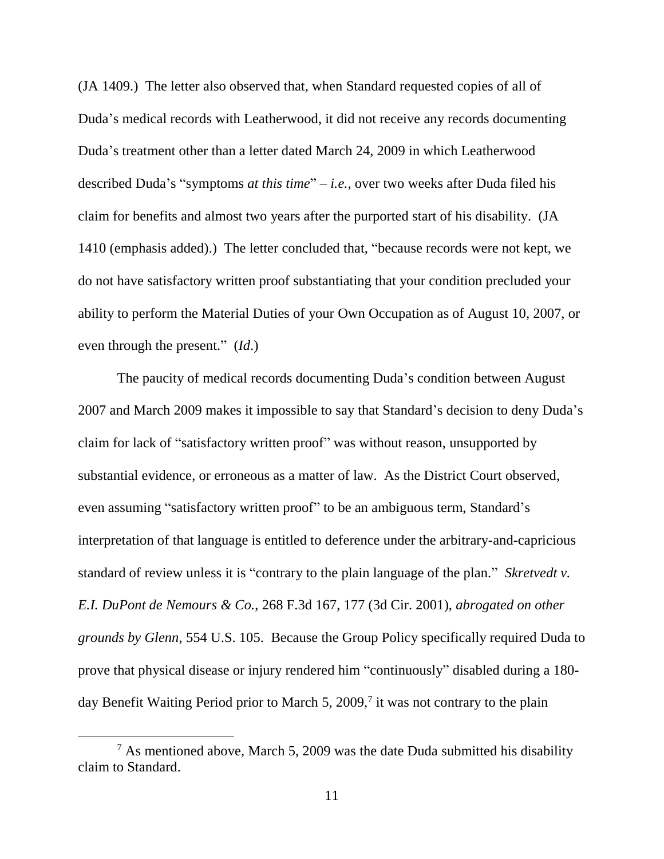(JA 1409.) The letter also observed that, when Standard requested copies of all of Duda's medical records with Leatherwood, it did not receive any records documenting Duda's treatment other than a letter dated March 24, 2009 in which Leatherwood described Duda's "symptoms *at this time*" – *i.e.*, over two weeks after Duda filed his claim for benefits and almost two years after the purported start of his disability. (JA 1410 (emphasis added).) The letter concluded that, "because records were not kept, we do not have satisfactory written proof substantiating that your condition precluded your ability to perform the Material Duties of your Own Occupation as of August 10, 2007, or even through the present." (*Id*.)

The paucity of medical records documenting Duda's condition between August 2007 and March 2009 makes it impossible to say that Standard's decision to deny Duda's claim for lack of "satisfactory written proof" was without reason, unsupported by substantial evidence, or erroneous as a matter of law. As the District Court observed, even assuming "satisfactory written proof" to be an ambiguous term, Standard's interpretation of that language is entitled to deference under the arbitrary-and-capricious standard of review unless it is "contrary to the plain language of the plan." *Skretvedt v. E.I. DuPont de Nemours & Co.*, 268 F.3d 167, 177 (3d Cir. 2001), *abrogated on other grounds by Glenn*, 554 U.S. 105. Because the Group Policy specifically required Duda to prove that physical disease or injury rendered him "continuously" disabled during a 180 day Benefit Waiting Period prior to March 5, 2009,<sup>7</sup> it was not contrary to the plain

 $\overline{a}$ 

 $7$  As mentioned above, March 5, 2009 was the date Duda submitted his disability claim to Standard.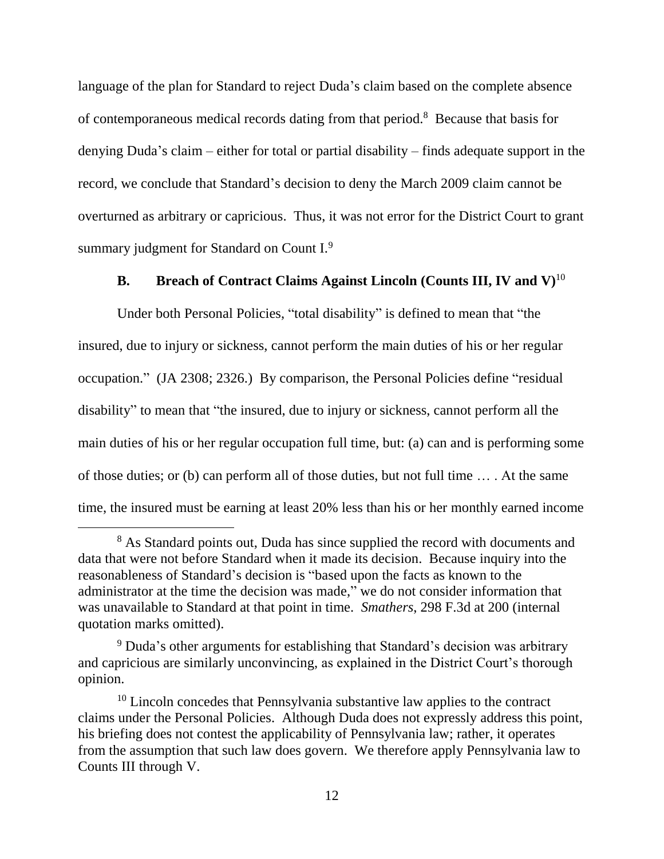language of the plan for Standard to reject Duda's claim based on the complete absence of contemporaneous medical records dating from that period.<sup>8</sup> Because that basis for denying Duda's claim – either for total or partial disability – finds adequate support in the record, we conclude that Standard's decision to deny the March 2009 claim cannot be overturned as arbitrary or capricious. Thus, it was not error for the District Court to grant summary judgment for Standard on Count I.<sup>9</sup>

### **B. Breach of Contract Claims Against Lincoln (Counts III, IV and V)** 10

Under both Personal Policies, "total disability" is defined to mean that "the insured, due to injury or sickness, cannot perform the main duties of his or her regular occupation." (JA 2308; 2326.) By comparison, the Personal Policies define "residual disability" to mean that "the insured, due to injury or sickness, cannot perform all the main duties of his or her regular occupation full time, but: (a) can and is performing some of those duties; or (b) can perform all of those duties, but not full time … . At the same time, the insured must be earning at least 20% less than his or her monthly earned income

<sup>&</sup>lt;sup>8</sup> As Standard points out, Duda has since supplied the record with documents and data that were not before Standard when it made its decision. Because inquiry into the reasonableness of Standard's decision is "based upon the facts as known to the administrator at the time the decision was made," we do not consider information that was unavailable to Standard at that point in time. *Smathers*, 298 F.3d at 200 (internal quotation marks omitted).

<sup>&</sup>lt;sup>9</sup> Duda's other arguments for establishing that Standard's decision was arbitrary and capricious are similarly unconvincing, as explained in the District Court's thorough opinion.

 $10$  Lincoln concedes that Pennsylvania substantive law applies to the contract claims under the Personal Policies. Although Duda does not expressly address this point, his briefing does not contest the applicability of Pennsylvania law; rather, it operates from the assumption that such law does govern. We therefore apply Pennsylvania law to Counts III through V.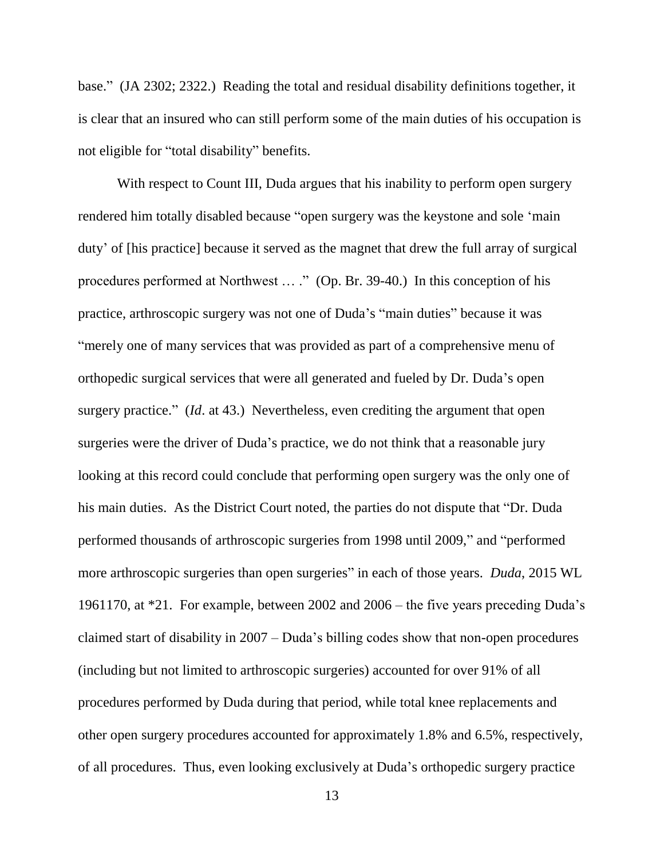base." (JA 2302; 2322.) Reading the total and residual disability definitions together, it is clear that an insured who can still perform some of the main duties of his occupation is not eligible for "total disability" benefits.

With respect to Count III, Duda argues that his inability to perform open surgery rendered him totally disabled because "open surgery was the keystone and sole 'main duty' of [his practice] because it served as the magnet that drew the full array of surgical procedures performed at Northwest … ." (Op. Br. 39-40.) In this conception of his practice, arthroscopic surgery was not one of Duda's "main duties" because it was "merely one of many services that was provided as part of a comprehensive menu of orthopedic surgical services that were all generated and fueled by Dr. Duda's open surgery practice." (*Id*. at 43.) Nevertheless, even crediting the argument that open surgeries were the driver of Duda's practice, we do not think that a reasonable jury looking at this record could conclude that performing open surgery was the only one of his main duties. As the District Court noted, the parties do not dispute that "Dr. Duda performed thousands of arthroscopic surgeries from 1998 until 2009," and "performed more arthroscopic surgeries than open surgeries" in each of those years. *Duda*, 2015 WL 1961170, at \*21. For example, between 2002 and 2006 – the five years preceding Duda's claimed start of disability in 2007 – Duda's billing codes show that non-open procedures (including but not limited to arthroscopic surgeries) accounted for over 91% of all procedures performed by Duda during that period, while total knee replacements and other open surgery procedures accounted for approximately 1.8% and 6.5%, respectively, of all procedures. Thus, even looking exclusively at Duda's orthopedic surgery practice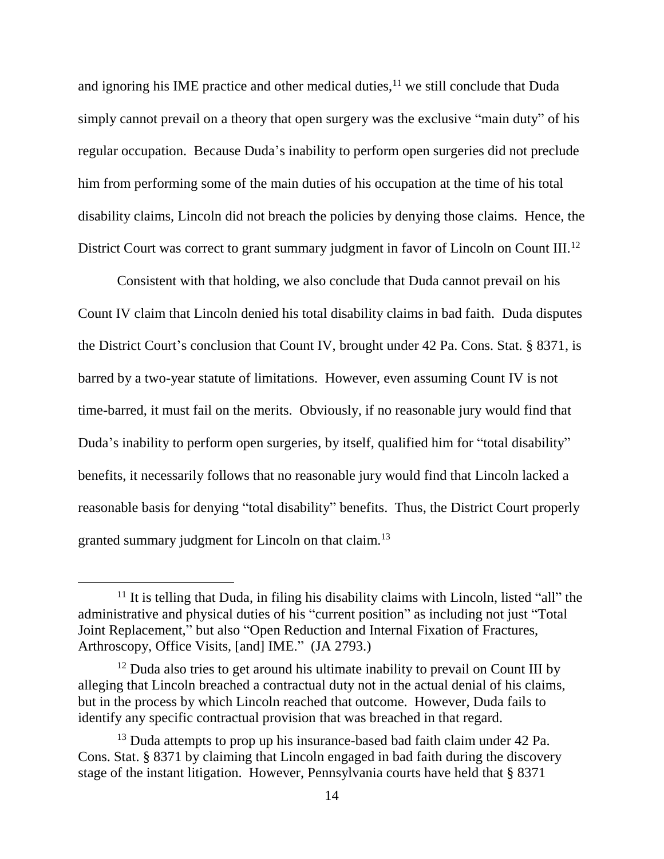and ignoring his IME practice and other medical duties, $11$  we still conclude that Duda simply cannot prevail on a theory that open surgery was the exclusive "main duty" of his regular occupation. Because Duda's inability to perform open surgeries did not preclude him from performing some of the main duties of his occupation at the time of his total disability claims, Lincoln did not breach the policies by denying those claims. Hence, the District Court was correct to grant summary judgment in favor of Lincoln on Count III.<sup>12</sup>

Consistent with that holding, we also conclude that Duda cannot prevail on his Count IV claim that Lincoln denied his total disability claims in bad faith. Duda disputes the District Court's conclusion that Count IV, brought under 42 Pa. Cons. Stat. § 8371, is barred by a two-year statute of limitations. However, even assuming Count IV is not time-barred, it must fail on the merits. Obviously, if no reasonable jury would find that Duda's inability to perform open surgeries, by itself, qualified him for "total disability" benefits, it necessarily follows that no reasonable jury would find that Lincoln lacked a reasonable basis for denying "total disability" benefits. Thus, the District Court properly granted summary judgment for Lincoln on that claim.<sup>13</sup>

 $\overline{a}$ 

 $11$  It is telling that Duda, in filing his disability claims with Lincoln, listed "all" the administrative and physical duties of his "current position" as including not just "Total Joint Replacement," but also "Open Reduction and Internal Fixation of Fractures, Arthroscopy, Office Visits, [and] IME." (JA 2793.)

 $12$  Duda also tries to get around his ultimate inability to prevail on Count III by alleging that Lincoln breached a contractual duty not in the actual denial of his claims, but in the process by which Lincoln reached that outcome. However, Duda fails to identify any specific contractual provision that was breached in that regard.

<sup>&</sup>lt;sup>13</sup> Duda attempts to prop up his insurance-based bad faith claim under 42 Pa. Cons. Stat. § 8371 by claiming that Lincoln engaged in bad faith during the discovery stage of the instant litigation. However, Pennsylvania courts have held that § 8371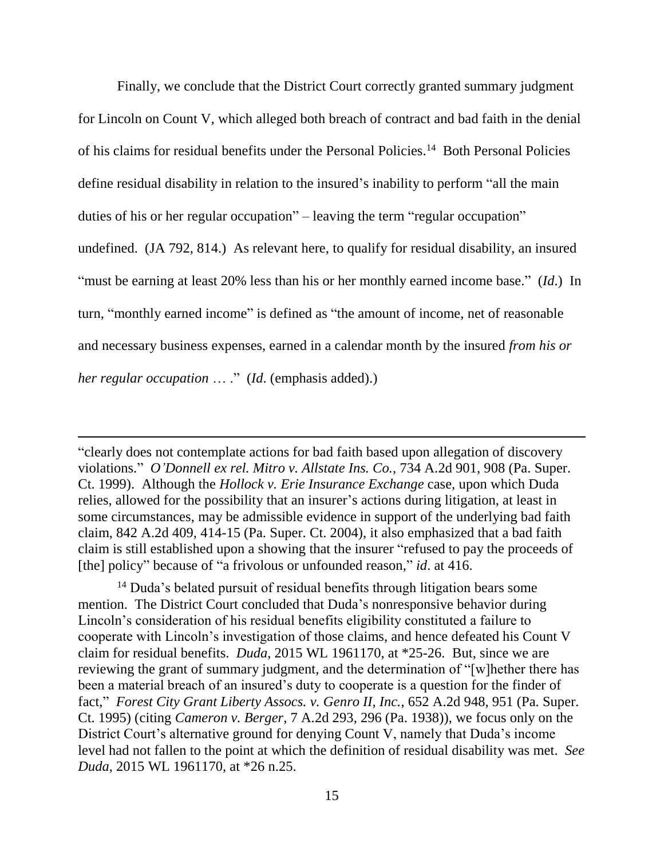Finally, we conclude that the District Court correctly granted summary judgment for Lincoln on Count V, which alleged both breach of contract and bad faith in the denial of his claims for residual benefits under the Personal Policies.<sup>14</sup> Both Personal Policies define residual disability in relation to the insured's inability to perform "all the main duties of his or her regular occupation" – leaving the term "regular occupation" undefined. (JA 792, 814.) As relevant here, to qualify for residual disability, an insured "must be earning at least 20% less than his or her monthly earned income base." (*Id*.) In turn, "monthly earned income" is defined as "the amount of income, net of reasonable and necessary business expenses, earned in a calendar month by the insured *from his or her regular occupation* … ." (*Id*. (emphasis added).)

"clearly does not contemplate actions for bad faith based upon allegation of discovery violations." *O'Donnell ex rel. Mitro v. Allstate Ins. Co.*, 734 A.2d 901, 908 (Pa. Super. Ct. 1999). Although the *Hollock v. Erie Insurance Exchange* case, upon which Duda relies, allowed for the possibility that an insurer's actions during litigation, at least in some circumstances, may be admissible evidence in support of the underlying bad faith claim, 842 A.2d 409, 414-15 (Pa. Super. Ct. 2004), it also emphasized that a bad faith claim is still established upon a showing that the insurer "refused to pay the proceeds of [the] policy" because of "a frivolous or unfounded reason," *id*. at 416.

<sup>14</sup> Duda's belated pursuit of residual benefits through litigation bears some mention. The District Court concluded that Duda's nonresponsive behavior during Lincoln's consideration of his residual benefits eligibility constituted a failure to cooperate with Lincoln's investigation of those claims, and hence defeated his Count V claim for residual benefits. *Duda*, 2015 WL 1961170, at \*25-26. But, since we are reviewing the grant of summary judgment, and the determination of "[w]hether there has been a material breach of an insured's duty to cooperate is a question for the finder of fact," *Forest City Grant Liberty Assocs. v. Genro II, Inc.*, 652 A.2d 948, 951 (Pa. Super. Ct. 1995) (citing *Cameron v. Berger*, 7 A.2d 293, 296 (Pa. 1938)), we focus only on the District Court's alternative ground for denying Count V, namely that Duda's income level had not fallen to the point at which the definition of residual disability was met. *See Duda*, 2015 WL 1961170, at \*26 n.25.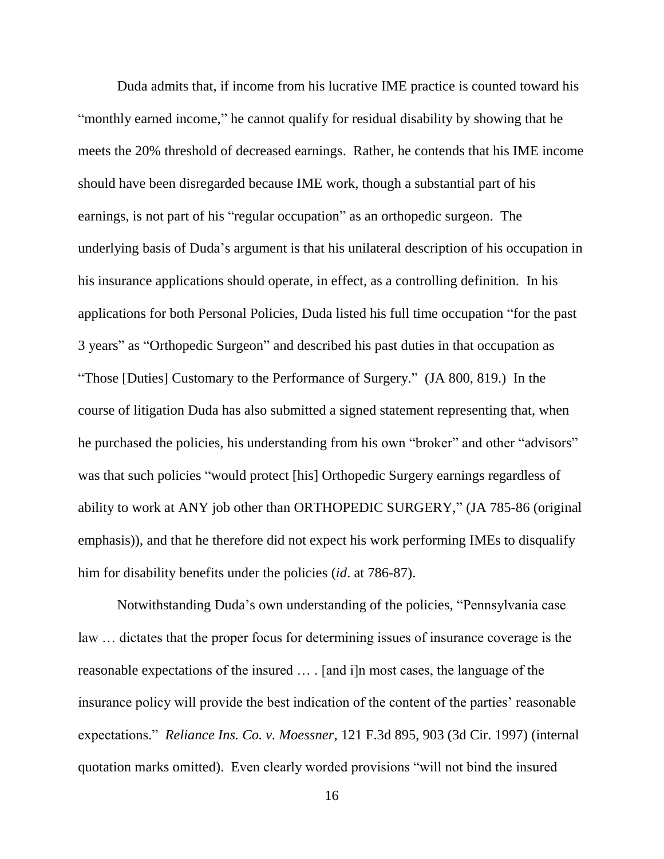Duda admits that, if income from his lucrative IME practice is counted toward his "monthly earned income," he cannot qualify for residual disability by showing that he meets the 20% threshold of decreased earnings. Rather, he contends that his IME income should have been disregarded because IME work, though a substantial part of his earnings, is not part of his "regular occupation" as an orthopedic surgeon. The underlying basis of Duda's argument is that his unilateral description of his occupation in his insurance applications should operate, in effect, as a controlling definition. In his applications for both Personal Policies, Duda listed his full time occupation "for the past 3 years" as "Orthopedic Surgeon" and described his past duties in that occupation as "Those [Duties] Customary to the Performance of Surgery." (JA 800, 819.) In the course of litigation Duda has also submitted a signed statement representing that, when he purchased the policies, his understanding from his own "broker" and other "advisors" was that such policies "would protect [his] Orthopedic Surgery earnings regardless of ability to work at ANY job other than ORTHOPEDIC SURGERY," (JA 785-86 (original emphasis)), and that he therefore did not expect his work performing IMEs to disqualify him for disability benefits under the policies (*id*. at 786-87).

Notwithstanding Duda's own understanding of the policies, "Pennsylvania case law … dictates that the proper focus for determining issues of insurance coverage is the reasonable expectations of the insured … . [and i]n most cases, the language of the insurance policy will provide the best indication of the content of the parties' reasonable expectations." *Reliance Ins. Co. v. Moessner*, 121 F.3d 895, 903 (3d Cir. 1997) (internal quotation marks omitted). Even clearly worded provisions "will not bind the insured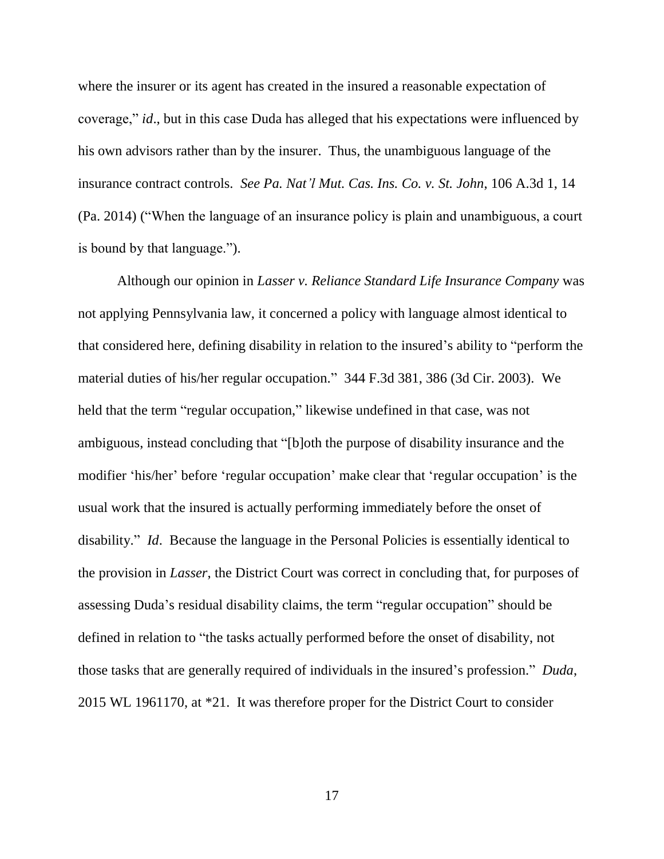where the insurer or its agent has created in the insured a reasonable expectation of coverage," *id*., but in this case Duda has alleged that his expectations were influenced by his own advisors rather than by the insurer. Thus, the unambiguous language of the insurance contract controls. *See Pa. Nat'l Mut. Cas. Ins. Co. v. St. John*, 106 A.3d 1, 14 (Pa. 2014) ("When the language of an insurance policy is plain and unambiguous, a court is bound by that language.").

Although our opinion in *Lasser v. Reliance Standard Life Insurance Company* was not applying Pennsylvania law, it concerned a policy with language almost identical to that considered here, defining disability in relation to the insured's ability to "perform the material duties of his/her regular occupation." 344 F.3d 381, 386 (3d Cir. 2003). We held that the term "regular occupation," likewise undefined in that case, was not ambiguous, instead concluding that "[b]oth the purpose of disability insurance and the modifier 'his/her' before 'regular occupation' make clear that 'regular occupation' is the usual work that the insured is actually performing immediately before the onset of disability." *Id*. Because the language in the Personal Policies is essentially identical to the provision in *Lasser*, the District Court was correct in concluding that, for purposes of assessing Duda's residual disability claims, the term "regular occupation" should be defined in relation to "the tasks actually performed before the onset of disability, not those tasks that are generally required of individuals in the insured's profession." *Duda*, 2015 WL 1961170, at \*21. It was therefore proper for the District Court to consider